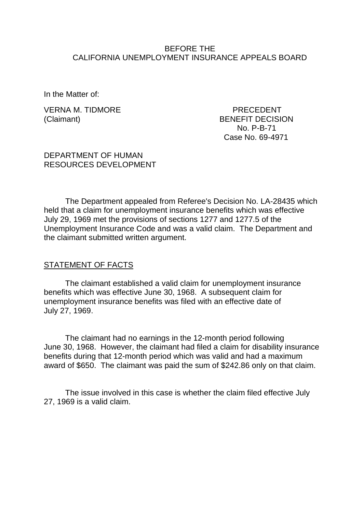### BEFORE THE CALIFORNIA UNEMPLOYMENT INSURANCE APPEALS BOARD

In the Matter of:

VERNA M. TIDMORE PRECEDENT (Claimant) BENEFIT DECISION

 No. P-B-71 Case No. 69-4971

## DEPARTMENT OF HUMAN RESOURCES DEVELOPMENT

The Department appealed from Referee's Decision No. LA-28435 which held that a claim for unemployment insurance benefits which was effective July 29, 1969 met the provisions of sections 1277 and 1277.5 of the Unemployment Insurance Code and was a valid claim. The Department and the claimant submitted written argument.

#### STATEMENT OF FACTS

The claimant established a valid claim for unemployment insurance benefits which was effective June 30, 1968. A subsequent claim for unemployment insurance benefits was filed with an effective date of July 27, 1969.

The claimant had no earnings in the 12-month period following June 30, 1968. However, the claimant had filed a claim for disability insurance benefits during that 12-month period which was valid and had a maximum award of \$650. The claimant was paid the sum of \$242.86 only on that claim.

The issue involved in this case is whether the claim filed effective July 27, 1969 is a valid claim.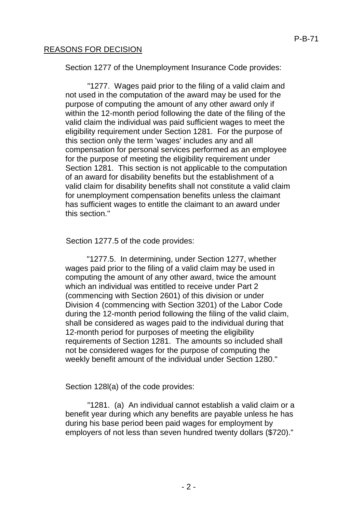# REASONS FOR DECISION

Section 1277 of the Unemployment Insurance Code provides:

"1277. Wages paid prior to the filing of a valid claim and not used in the computation of the award may be used for the purpose of computing the amount of any other award only if within the 12-month period following the date of the filing of the valid claim the individual was paid sufficient wages to meet the eligibility requirement under Section 1281. For the purpose of this section only the term 'wages' includes any and all compensation for personal services performed as an employee for the purpose of meeting the eligibility requirement under Section 1281. This section is not applicable to the computation of an award for disability benefits but the establishment of a valid claim for disability benefits shall not constitute a valid claim for unemployment compensation benefits unless the claimant has sufficient wages to entitle the claimant to an award under this section."

Section 1277.5 of the code provides:

"1277.5. In determining, under Section 1277, whether wages paid prior to the filing of a valid claim may be used in computing the amount of any other award, twice the amount which an individual was entitled to receive under Part 2 (commencing with Section 2601) of this division or under Division 4 (commencing with Section 3201) of the Labor Code during the 12-month period following the filing of the valid claim, shall be considered as wages paid to the individual during that 12-month period for purposes of meeting the eligibility requirements of Section 1281. The amounts so included shall not be considered wages for the purpose of computing the weekly benefit amount of the individual under Section 1280."

Section 128l(a) of the code provides:

"1281. (a) An individual cannot establish a valid claim or a benefit year during which any benefits are payable unless he has during his base period been paid wages for employment by employers of not less than seven hundred twenty dollars (\$720)."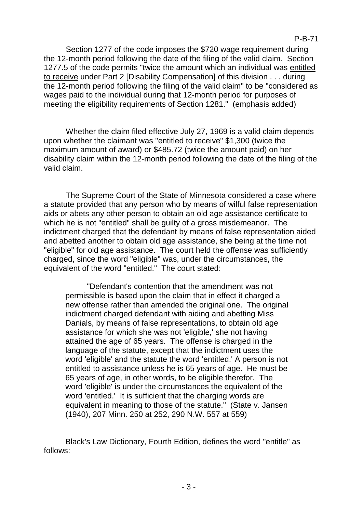## P-B-71

Section 1277 of the code imposes the \$720 wage requirement during the 12-month period following the date of the filing of the valid claim. Section 1277.5 of the code permits "twice the amount which an individual was entitled to receive under Part 2 [Disability Compensation] of this division . . . during the 12-month period following the filing of the valid claim" to be "considered as wages paid to the individual during that 12-month period for purposes of meeting the eligibility requirements of Section 1281." (emphasis added)

Whether the claim filed effective July 27, 1969 is a valid claim depends upon whether the claimant was "entitled to receive" \$1,300 (twice the maximum amount of award) or \$485.72 (twice the amount paid) on her disability claim within the 12-month period following the date of the filing of the valid claim.

The Supreme Court of the State of Minnesota considered a case where a statute provided that any person who by means of wilful false representation aids or abets any other person to obtain an old age assistance certificate to which he is not "entitled" shall be guilty of a gross misdemeanor. The indictment charged that the defendant by means of false representation aided and abetted another to obtain old age assistance, she being at the time not "eligible" for old age assistance. The court held the offense was sufficiently charged, since the word "eligible" was, under the circumstances, the equivalent of the word "entitled." The court stated:

"Defendant's contention that the amendment was not permissible is based upon the claim that in effect it charged a new offense rather than amended the original one. The original indictment charged defendant with aiding and abetting Miss Danials, by means of false representations, to obtain old age assistance for which she was not 'eligible,' she not having attained the age of 65 years. The offense is charged in the language of the statute, except that the indictment uses the word 'eligible' and the statute the word 'entitled.' A person is not entitled to assistance unless he is 65 years of age. He must be 65 years of age, in other words, to be eligible therefor. The word 'eligible' is under the circumstances the equivalent of the word 'entitled.' It is sufficient that the charging words are equivalent in meaning to those of the statute." (State v. Jansen (1940), 207 Minn. 250 at 252, 290 N.W. 557 at 559)

Black's Law Dictionary, Fourth Edition, defines the word "entitle" as follows: